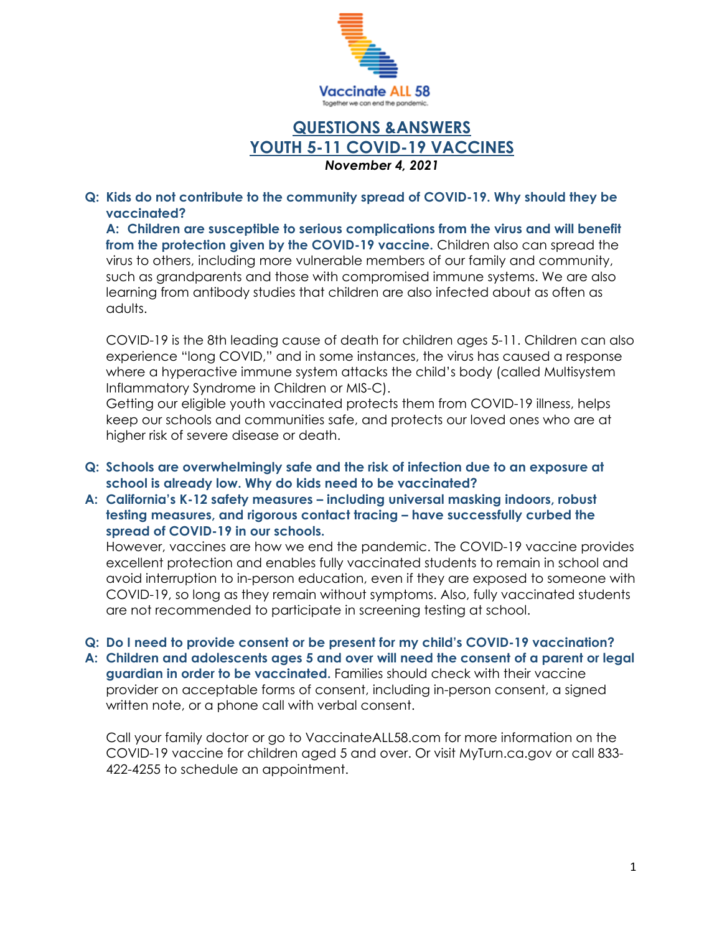

# **QUESTIONS &ANSWERS YOUTH 5-11 COVID-19 VACCINES** *November 4, 2021*

## **Q: Kids do not contribute to the community spread of COVID-19. Why should they be vaccinated?**

**A: Children are susceptible to serious complications from the virus and will benefit from the protection given by the COVID-19 vaccine.** Children also can spread the virus to others, including more vulnerable members of our family and community, such as grandparents and those with compromised immune systems. We are also learning from antibody studies that children are also infected about as often as adults.

COVID-19 is the 8th leading cause of death for children ages 5-11. Children can also experience "long COVID," and in some instances, the virus has caused a response where a hyperactive immune system attacks the child's body (called Multisystem Inflammatory Syndrome in Children or MIS-C).

Getting our eligible youth vaccinated protects them from COVID-19 illness, helps keep our schools and communities safe, and protects our loved ones who are at higher risk of severe disease or death.

- **Q: Schools are overwhelmingly safe and the risk of infection due to an exposure at school is already low. Why do kids need to be vaccinated?**
- **A: California's K-12 safety measures – including universal masking indoors, robust testing measures, and rigorous contact tracing – have successfully curbed the spread of COVID-19 in our schools.**

However, vaccines are how we end the pandemic. The COVID-19 vaccine provides excellent protection and enables fully vaccinated students to remain in school and avoid interruption to in-person education, even if they are exposed to someone with COVID-19, so long as they remain without symptoms. Also, fully vaccinated students are not recommended to participate in screening testing at school.

## **Q: Do I need to provide consent or be present for my child's COVID-19 vaccination?**

**A: Children and adolescents ages 5 and over will need the consent of a parent or legal guardian in order to be vaccinated.** Families should check with their vaccine provider on acceptable forms of consent, including in-person consent, a signed written note, or a phone call with verbal consent.

Call your family doctor or go to VaccinateALL58.com for more information on the COVID-19 vaccine for children aged 5 and over. Or visit MyTurn.ca.gov or call 833- 422-4255 to schedule an appointment.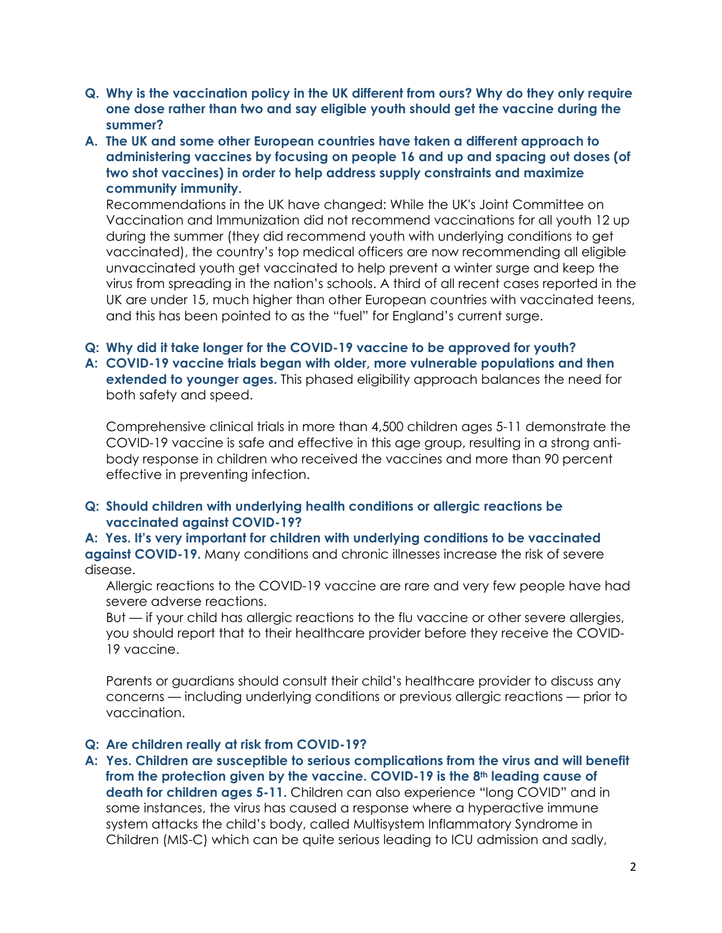- **Q. Why is the vaccination policy in the UK different from ours? Why do they only require one dose rather than two and say eligible youth should get the vaccine during the summer?**
- **A. The UK and some other European countries have taken a different approach to administering vaccines by focusing on people 16 and up and spacing out doses (of two shot vaccines) in order to help address supply constraints and maximize community immunity.**

Recommendations in the UK have changed: While the UK's Joint Committee on Vaccination and Immunization did not recommend vaccinations for all youth 12 up during the summer (they did recommend youth with underlying conditions to get vaccinated), the country's top medical officers are now recommending all eligible unvaccinated youth get vaccinated to help prevent a winter surge and keep the virus from spreading in the nation's schools. A third of all recent cases reported in the UK are under 15, much higher than other European countries with vaccinated teens, and this has been pointed to as the "fuel" for England's current surge.

# **Q: Why did it take longer for the COVID-19 vaccine to be approved for youth?**

**A: COVID-19 vaccine trials began with older, more vulnerable populations and then extended to younger ages.** This phased eligibility approach balances the need for both safety and speed.

Comprehensive clinical trials in more than 4,500 children ages 5-11 demonstrate the COVID-19 vaccine is safe and effective in this age group, resulting in a strong antibody response in children who received the vaccines and more than 90 percent effective in preventing infection.

**Q: Should children with underlying health conditions or allergic reactions be vaccinated against COVID-19?**

**A: Yes. It's very important for children with underlying conditions to be vaccinated against COVID-19.** Many conditions and chronic illnesses increase the risk of severe disease.

Allergic reactions to the COVID-19 vaccine are rare and very few people have had severe adverse reactions.

But — if your child has allergic reactions to the flu vaccine or other severe allergies, you should report that to their healthcare provider before they receive the COVID-19 vaccine.

Parents or guardians should consult their child's healthcare provider to discuss any concerns — including underlying conditions or previous allergic reactions — prior to vaccination.

## **Q: Are children really at risk from COVID-19?**

**A: Yes. Children are susceptible to serious complications from the virus and will benefit from the protection given by the vaccine. COVID-19 is the 8th leading cause of death for children ages 5-11.** Children can also experience "long COVID" and in some instances, the virus has caused a response where a hyperactive immune system attacks the child's body, called Multisystem Inflammatory Syndrome in Children (MIS-C) which can be quite serious leading to ICU admission and sadly,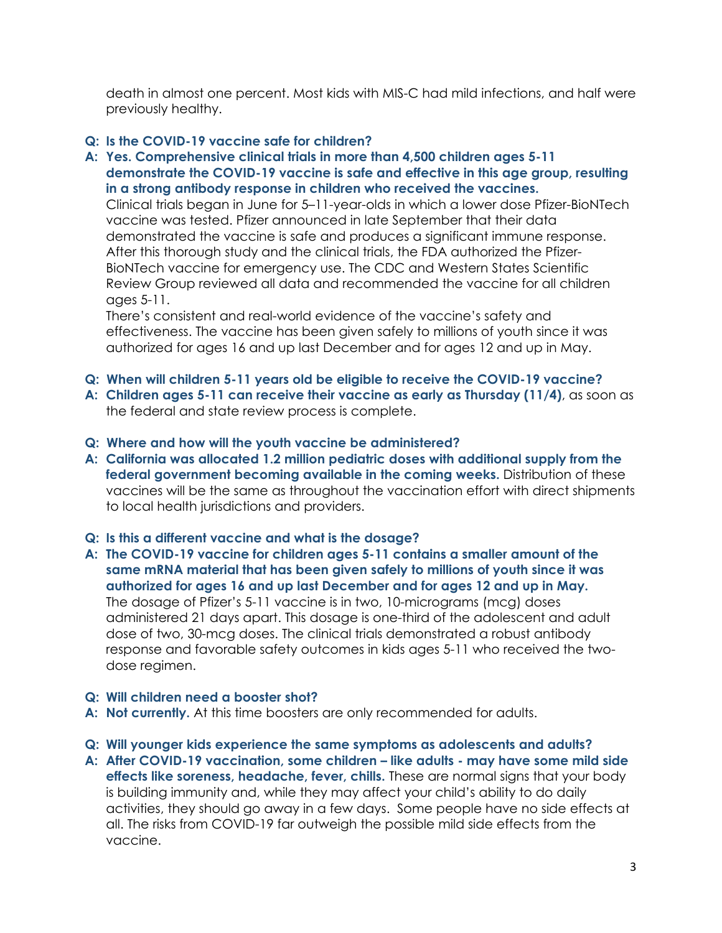death in almost one percent. Most kids with MIS-C had mild infections, and half were previously healthy.

# **Q: Is the COVID-19 vaccine safe for children?**

**A: Yes. Comprehensive clinical trials in more than 4,500 children ages 5-11 demonstrate the COVID-19 vaccine is safe and effective in this age group, resulting in a strong antibody response in children who received the vaccines.**

Clinical trials began in June for 5–11-year-olds in which a lower dose Pfizer-BioNTech vaccine was tested. Pfizer announced in late September that their data demonstrated the vaccine is safe and produces a significant immune response. After this thorough study and the clinical trials, the FDA authorized the Pfizer-BioNTech vaccine for emergency use. The CDC and Western States Scientific Review Group reviewed all data and recommended the vaccine for all children ages 5-11.

There's consistent and real-world evidence of the vaccine's safety and effectiveness. The vaccine has been given safely to millions of youth since it was authorized for ages 16 and up last December and for ages 12 and up in May.

- **Q: When will children 5-11 years old be eligible to receive the COVID-19 vaccine?**
- **A: Children ages 5-11 can receive their vaccine as early as Thursday (11/4)**, as soon as the federal and state review process is complete.
- **Q: Where and how will the youth vaccine be administered?**
- **A: California was allocated 1.2 million pediatric doses with additional supply from the federal government becoming available in the coming weeks.** Distribution of these vaccines will be the same as throughout the vaccination effort with direct shipments to local health jurisdictions and providers.

## **Q: Is this a different vaccine and what is the dosage?**

**A: The COVID-19 vaccine for children ages 5-11 contains a smaller amount of the same mRNA material that has been given safely to millions of youth since it was authorized for ages 16 and up last December and for ages 12 and up in May.** The dosage of Pfizer's 5-11 vaccine is in two, 10-micrograms (mcg) doses administered 21 days apart. This dosage is one-third of the adolescent and adult dose of two, 30-mcg doses. The clinical trials demonstrated a robust antibody response and favorable safety outcomes in kids ages 5-11 who received the twodose regimen.

## **Q: Will children need a booster shot?**

- **A: Not currently.** At this time boosters are only recommended for adults.
- **Q: Will younger kids experience the same symptoms as adolescents and adults?**
- **A: After COVID-19 vaccination, some children – like adults - may have some mild side effects like soreness, headache, fever, chills.** These are normal signs that your body is building immunity and, while they may affect your child's ability to do daily activities, they should go away in a few days. Some people have no side effects at all. The risks from COVID-19 far outweigh the possible mild side effects from the vaccine.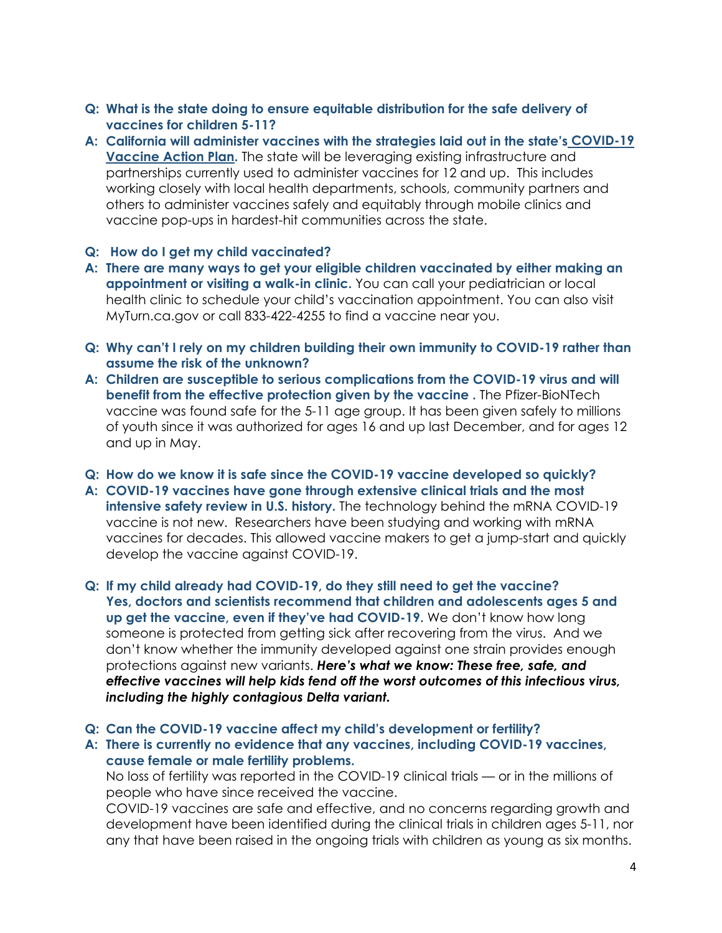- **Q: What is the state doing to ensure equitable distribution for the safe delivery of vaccines for children 5-11?**
- **A: California will administer vaccines with the strategies laid out in the state's [COVID-19](https://www.cdph.ca.gov/Programs/CID/DCDC/CDPH%20Document%20Library/COVID-19/Vaccine-Action-Plan.pdf)  [Vaccine Action Plan.](https://www.cdph.ca.gov/Programs/CID/DCDC/CDPH%20Document%20Library/COVID-19/Vaccine-Action-Plan.pdf)** The state will be leveraging existing infrastructure and partnerships currently used to administer vaccines for 12 and up. This includes working closely with local health departments, schools, community partners and others to administer vaccines safely and equitably through mobile clinics and vaccine pop-ups in hardest-hit communities across the state.

## **Q: How do I get my child vaccinated?**

- **A: There are many ways to get your eligible children vaccinated by either making an appointment or visiting a walk-in clinic.** You can call your pediatrician or local health clinic to schedule your child's vaccination appointment. You can also visit MyTurn.ca.gov or call 833-422-4255 to find a vaccine near you.
- **Q: Why can't I rely on my children building their own immunity to COVID-19 rather than assume the risk of the unknown?**
- **A: Children are susceptible to serious complications from the COVID-19 virus and will benefit from the effective protection given by the vaccine .** The Pfizer-BioNTech vaccine was found safe for the 5-11 age group. It has been given safely to millions of youth since it was authorized for ages 16 and up last December, and for ages 12 and up in May.
- **Q: How do we know it is safe since the COVID-19 vaccine developed so quickly?**
- **A: COVID-19 vaccines have gone through extensive clinical trials and the most intensive safety review in U.S. history.** The technology behind the mRNA COVID-19 vaccine is not new. Researchers have been studying and working with mRNA vaccines for decades. This allowed vaccine makers to get a jump-start and quickly develop the vaccine against COVID-19.
- **Q: If my child already had COVID-19, do they still need to get the vaccine? Yes, doctors and scientists recommend that children and adolescents ages 5 and up get the vaccine, even if they've had COVID-19.** We don't know how long someone is protected from getting sick after recovering from the virus. And we don't know whether the immunity developed against one strain provides enough protections against new variants. *Here's what we know: These free, safe, and effective vaccines will help kids fend off the worst outcomes of this infectious virus, including the highly contagious Delta variant.*

**Q: Can the COVID-19 vaccine affect my child's development or fertility?**

**A: There is currently no evidence that any vaccines, including COVID-19 vaccines, cause female or male fertility problems.**

No loss of fertility was reported in the COVID-19 clinical trials — or in the millions of people who have since received the vaccine.

COVID-19 vaccines are safe and effective, and no concerns regarding growth and development have been identified during the clinical trials in children ages 5-11, nor any that have been raised in the ongoing trials with children as young as six months.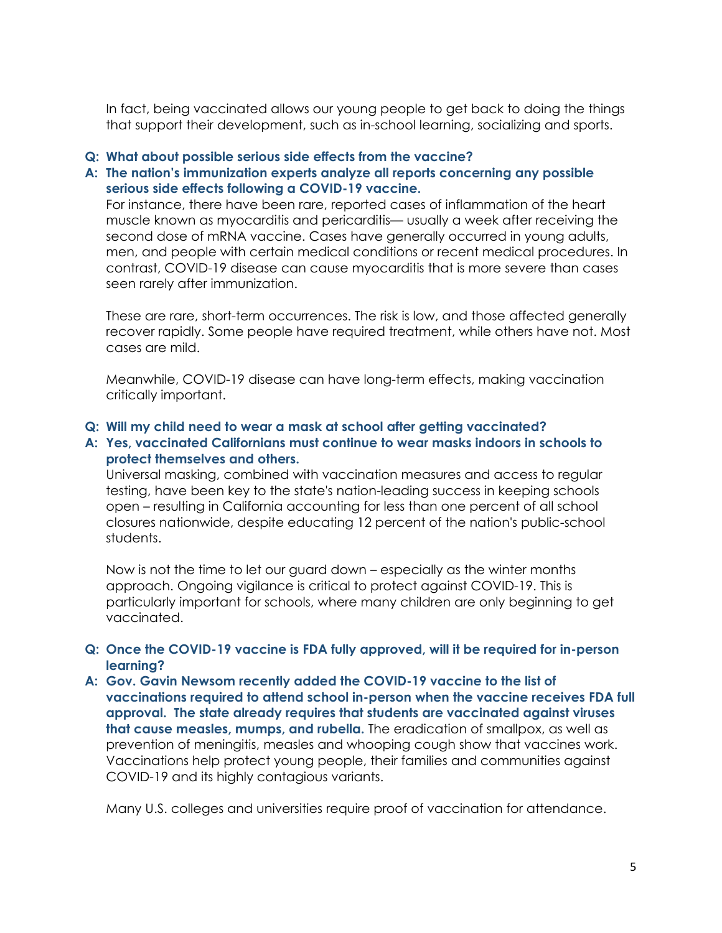In fact, being vaccinated allows our young people to get back to doing the things that support their development, such as in-school learning, socializing and sports.

## **Q: What about possible serious side effects from the vaccine?**

# **A: The nation's immunization experts analyze all reports concerning any possible serious side effects following a COVID-19 vaccine.**

For instance, there have been rare, reported cases of inflammation of the heart muscle known as myocarditis and pericarditis— usually a week after receiving the second dose of mRNA vaccine. Cases have generally occurred in young adults, men, and people with certain medical conditions or recent medical procedures. In contrast, COVID-19 disease can cause myocarditis that is more severe than cases seen rarely after immunization.

These are rare, short-term occurrences. The risk is low, and those affected generally recover rapidly. Some people have required treatment, while others have not. Most cases are mild.

Meanwhile, COVID-19 disease can have long-term effects, making vaccination critically important.

## **Q: Will my child need to wear a mask at school after getting vaccinated?**

## **A: Yes, vaccinated Californians must continue to wear masks indoors in schools to protect themselves and others.**

Universal masking, combined with vaccination measures and access to regular testing, have been key to the state's nation-leading success in keeping schools open – resulting in California accounting for less than one percent of all school closures nationwide, despite educating 12 percent of the nation's public-school students.

Now is not the time to let our guard down – especially as the winter months approach. Ongoing vigilance is critical to protect against COVID-19. This is particularly important for schools, where many children are only beginning to get vaccinated.

# **Q: Once the COVID-19 vaccine is FDA fully approved, will it be required for in-person learning?**

**A: Gov. Gavin Newsom recently added the COVID-19 vaccine to the list of vaccinations required to attend school in-person when the vaccine receives FDA full approval. The state already requires that students are vaccinated against viruses that cause measles, mumps, and rubella.** The eradication of smallpox, as well as prevention of meningitis, measles and whooping cough show that vaccines work. Vaccinations help protect young people, their families and communities against COVID-19 and its highly contagious variants.

Many U.S. colleges and universities require proof of vaccination for attendance.